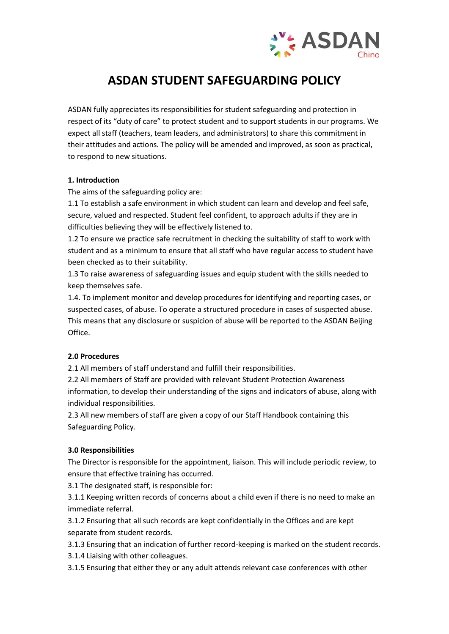

# **ASDAN STUDENT SAFEGUARDING POLICY**

ASDAN fully appreciates its responsibilities for student safeguarding and protection in respect of its "duty of care" to protect student and to support students in our programs. We expect all staff (teachers, team leaders, and administrators) to share this commitment in their attitudes and actions. The policy will be amended and improved, as soon as practical, to respond to new situations.

# **1. Introduction**

The aims of the safeguarding policy are:

1.1 To establish a safe environment in which student can learn and develop and feel safe, secure, valued and respected. Student feel confident, to approach adults if they are in difficulties believing they will be effectively listened to.

1.2 To ensure we practice safe recruitment in checking the suitability of staff to work with student and as a minimum to ensure that all staff who have regular access to student have been checked as to their suitability.

1.3 To raise awareness of safeguarding issues and equip student with the skills needed to keep themselves safe.

1.4. To implement monitor and develop procedures for identifying and reporting cases, or suspected cases, of abuse. To operate a structured procedure in cases of suspected abuse. This means that any disclosure or suspicion of abuse will be reported to the ASDAN Beijing Office.

# **2.0 Procedures**

2.1 All members of staff understand and fulfill their responsibilities.

2.2 All members of Staff are provided with relevant Student Protection Awareness information, to develop their understanding of the signs and indicators of abuse, along with individual responsibilities.

2.3 All new members of staff are given a copy of our Staff Handbook containing this Safeguarding Policy.

# **3.0 Responsibilities**

The Director is responsible for the appointment, liaison. This will include periodic review, to ensure that effective training has occurred.

3.1 The designated staff, is responsible for:

3.1.1 Keeping written records of concerns about a child even if there is no need to make an immediate referral.

3.1.2 Ensuring that all such records are kept confidentially in the Offices and are kept separate from student records.

3.1.3 Ensuring that an indication of further record-keeping is marked on the student records.

3.1.4 Liaising with other colleagues.

3.1.5 Ensuring that either they or any adult attends relevant case conferences with other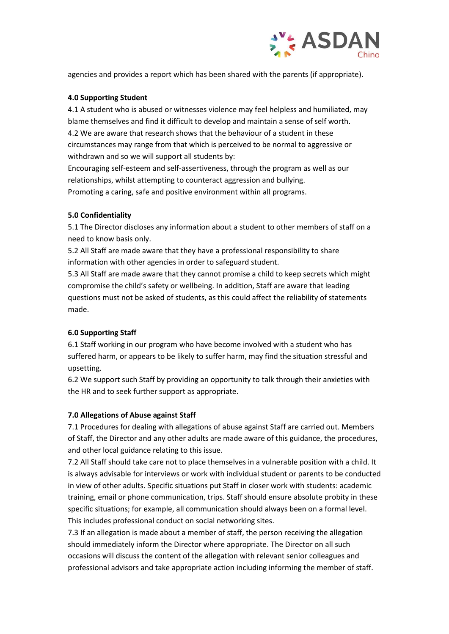

agencies and provides a report which has been shared with the parents (if appropriate).

#### **4.0 Supporting Student**

4.1 A student who is abused or witnesses violence may feel helpless and humiliated, may blame themselves and find it difficult to develop and maintain a sense of self worth. 4.2 We are aware that research shows that the behaviour of a student in these circumstances may range from that which is perceived to be normal to aggressive or withdrawn and so we will support all students by:

Encouraging self-esteem and self-assertiveness, through the program as well as our relationships, whilst attempting to counteract aggression and bullying. Promoting a caring, safe and positive environment within all programs.

# **5.0 Confidentiality**

5.1 The Director discloses any information about a student to other members of staff on a need to know basis only.

5.2 All Staff are made aware that they have a professional responsibility to share information with other agencies in order to safeguard student.

5.3 All Staff are made aware that they cannot promise a child to keep secrets which might compromise the child's safety or wellbeing. In addition, Staff are aware that leading questions must not be asked of students, as this could affect the reliability of statements made.

# **6.0 Supporting Staff**

6.1 Staff working in our program who have become involved with a student who has suffered harm, or appears to be likely to suffer harm, may find the situation stressful and upsetting.

6.2 We support such Staff by providing an opportunity to talk through their anxieties with the HR and to seek further support as appropriate.

#### **7.0 Allegations of Abuse against Staff**

7.1 Procedures for dealing with allegations of abuse against Staff are carried out. Members of Staff, the Director and any other adults are made aware of this guidance, the procedures, and other local guidance relating to this issue.

7.2 All Staff should take care not to place themselves in a vulnerable position with a child. It is always advisable for interviews or work with individual student or parents to be conducted in view of other adults. Specific situations put Staff in closer work with students: academic training, email or phone communication, trips. Staff should ensure absolute probity in these specific situations; for example, all communication should always been on a formal level. This includes professional conduct on social networking sites.

7.3 If an allegation is made about a member of staff, the person receiving the allegation should immediately inform the Director where appropriate. The Director on all such occasions will discuss the content of the allegation with relevant senior colleagues and professional advisors and take appropriate action including informing the member of staff.